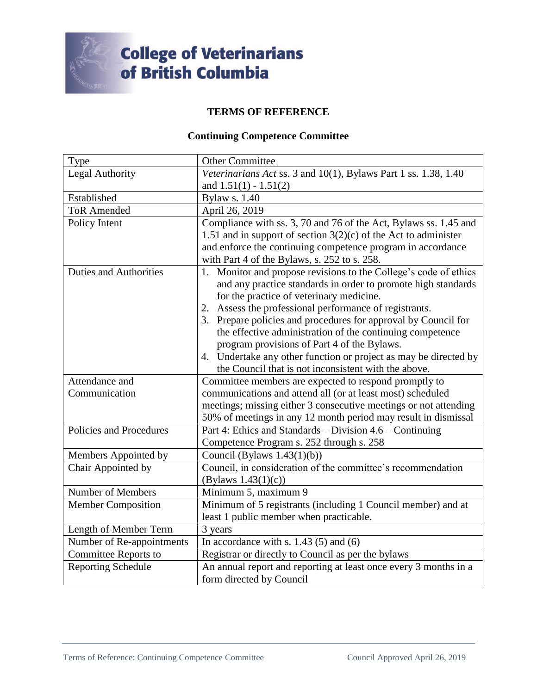

## **College of Veterinarians<br>of British Columbia**

## **TERMS OF REFERENCE**

## **Continuing Competence Committee**

| Type                          | <b>Other Committee</b>                                            |
|-------------------------------|-------------------------------------------------------------------|
| <b>Legal Authority</b>        | Veterinarians Act ss. 3 and 10(1), Bylaws Part 1 ss. 1.38, 1.40   |
|                               | and $1.51(1) - 1.51(2)$                                           |
| Established                   | <b>Bylaw s. 1.40</b>                                              |
| <b>ToR Amended</b>            | April 26, 2019                                                    |
| Policy Intent                 | Compliance with ss. 3, 70 and 76 of the Act, Bylaws ss. 1.45 and  |
|                               | 1.51 and in support of section $3(2)(c)$ of the Act to administer |
|                               | and enforce the continuing competence program in accordance       |
|                               | with Part 4 of the Bylaws, s. 252 to s. 258.                      |
| <b>Duties and Authorities</b> | 1. Monitor and propose revisions to the College's code of ethics  |
|                               | and any practice standards in order to promote high standards     |
|                               | for the practice of veterinary medicine.                          |
|                               | 2. Assess the professional performance of registrants.            |
|                               | 3. Prepare policies and procedures for approval by Council for    |
|                               | the effective administration of the continuing competence         |
|                               | program provisions of Part 4 of the Bylaws.                       |
|                               | 4. Undertake any other function or project as may be directed by  |
|                               | the Council that is not inconsistent with the above.              |
| Attendance and                | Committee members are expected to respond promptly to             |
| Communication                 | communications and attend all (or at least most) scheduled        |
|                               | meetings; missing either 3 consecutive meetings or not attending  |
|                               | 50% of meetings in any 12 month period may result in dismissal    |
| Policies and Procedures       | Part 4: Ethics and Standards – Division 4.6 – Continuing          |
|                               | Competence Program s. 252 through s. 258                          |
| Members Appointed by          | Council (Bylaws $1.43(1)(b)$ )                                    |
| Chair Appointed by            | Council, in consideration of the committee's recommendation       |
|                               | (Bylaws $1.43(1)(c)$ )                                            |
| Number of Members             | Minimum 5, maximum 9                                              |
| <b>Member Composition</b>     | Minimum of 5 registrants (including 1 Council member) and at      |
|                               | least 1 public member when practicable.                           |
| Length of Member Term         | 3 years                                                           |
| Number of Re-appointments     | In accordance with s. $1.43$ (5) and (6)                          |
| <b>Committee Reports to</b>   | Registrar or directly to Council as per the bylaws                |
| <b>Reporting Schedule</b>     | An annual report and reporting at least once every 3 months in a  |
|                               | form directed by Council                                          |